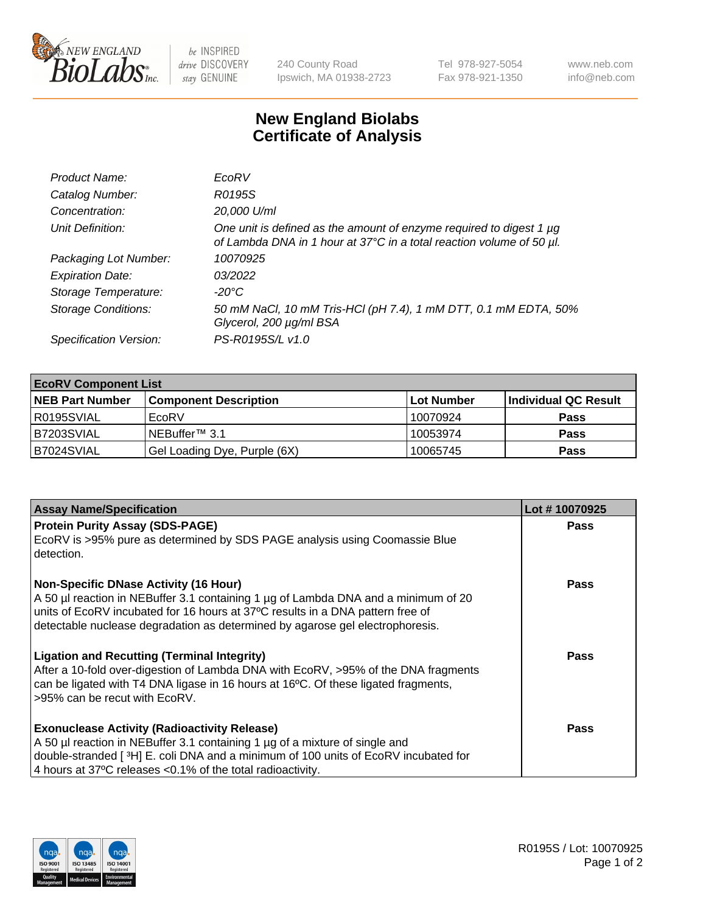

 $be$  INSPIRED drive DISCOVERY stay GENUINE

240 County Road Ipswich, MA 01938-2723 Tel 978-927-5054 Fax 978-921-1350 www.neb.com info@neb.com

## **New England Biolabs Certificate of Analysis**

| Product Name:              | EcoRV                                                                                                                                       |
|----------------------------|---------------------------------------------------------------------------------------------------------------------------------------------|
| Catalog Number:            | R0195S                                                                                                                                      |
| Concentration:             | 20,000 U/ml                                                                                                                                 |
| Unit Definition:           | One unit is defined as the amount of enzyme required to digest 1 µg<br>of Lambda DNA in 1 hour at 37°C in a total reaction volume of 50 µl. |
| Packaging Lot Number:      | 10070925                                                                                                                                    |
| <b>Expiration Date:</b>    | 03/2022                                                                                                                                     |
| Storage Temperature:       | -20°C                                                                                                                                       |
| <b>Storage Conditions:</b> | 50 mM NaCl, 10 mM Tris-HCl (pH 7.4), 1 mM DTT, 0.1 mM EDTA, 50%<br>Glycerol, 200 µg/ml BSA                                                  |
| Specification Version:     | PS-R0195S/L v1.0                                                                                                                            |

| <b>EcoRV Component List</b> |                              |            |                      |  |  |
|-----------------------------|------------------------------|------------|----------------------|--|--|
| <b>NEB Part Number</b>      | <b>Component Description</b> | Lot Number | Individual QC Result |  |  |
| I R0195SVIAL                | EcoRV                        | 10070924   | <b>Pass</b>          |  |  |
| B7203SVIAL                  | INEBuffer™ 3.1               | 10053974   | <b>Pass</b>          |  |  |
| B7024SVIAL                  | Gel Loading Dye, Purple (6X) | 10065745   | <b>Pass</b>          |  |  |

| <b>Assay Name/Specification</b>                                                                                                                                                                                                                                                                       | Lot #10070925 |
|-------------------------------------------------------------------------------------------------------------------------------------------------------------------------------------------------------------------------------------------------------------------------------------------------------|---------------|
| <b>Protein Purity Assay (SDS-PAGE)</b><br>EcoRV is >95% pure as determined by SDS PAGE analysis using Coomassie Blue<br>detection.                                                                                                                                                                    | <b>Pass</b>   |
| <b>Non-Specific DNase Activity (16 Hour)</b><br>A 50 µl reaction in NEBuffer 3.1 containing 1 µg of Lambda DNA and a minimum of 20<br>units of EcoRV incubated for 16 hours at 37°C results in a DNA pattern free of<br>detectable nuclease degradation as determined by agarose gel electrophoresis. | Pass          |
| <b>Ligation and Recutting (Terminal Integrity)</b><br>After a 10-fold over-digestion of Lambda DNA with EcoRV, >95% of the DNA fragments<br>can be ligated with T4 DNA ligase in 16 hours at 16 $\degree$ C. Of these ligated fragments,<br>l >95% can be recut with EcoRV.                           | Pass          |
| <b>Exonuclease Activity (Radioactivity Release)</b><br>A 50 µl reaction in NEBuffer 3.1 containing 1 µg of a mixture of single and<br>double-stranded [ <sup>3</sup> H] E. coli DNA and a minimum of 100 units of EcoRV incubated for<br>4 hours at 37°C releases < 0.1% of the total radioactivity.  | Pass          |